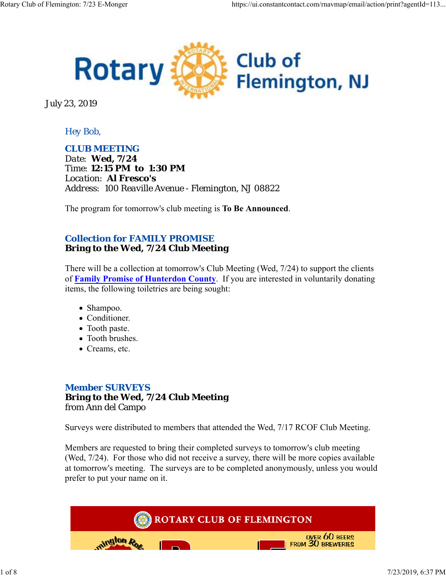

July 23, 2019

### *Hey Bob,*

*CLUB MEETING Date: Wed, 7/24 Time: 12:15 PM to 1:30 PM Location: Al Fresco's Address: 100 Reaville Avenue - Flemington, NJ 08822*

The program for tomorrow's club meeting is **To Be Announced**.

### *Collection for FAMILY PROMISE* **Bring to the Wed, 7/24 Club Meeting**

There will be a collection at tomorrow's Club Meeting (Wed, 7/24) to support the clients of **Family Promise of Hunterdon County**. If you are interested in voluntarily donating items, the following toiletries are being sought:

- Shampoo.
- Conditioner.
- Tooth paste.
- Tooth brushes.
- Creams, etc.

### *Member SURVEYS* **Bring to the Wed, 7/24 Club Meeting** from Ann del Campo

Surveys were distributed to members that attended the Wed, 7/17 RCOF Club Meeting.

Members are requested to bring their completed surveys to tomorrow's club meeting (Wed, 7/24). For those who did not receive a survey, there will be more copies available at tomorrow's meeting. The surveys are to be completed anonymously, unless you would prefer to put your name on it.

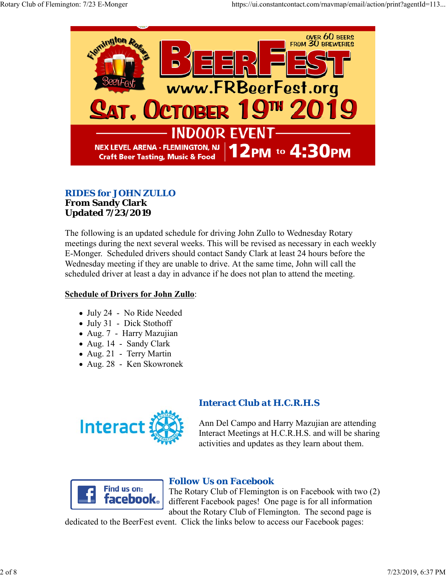

# *RIDES for JOHN ZULLO*

#### **From Sandy Clark Updated 7/23/2019**

The following is an updated schedule for driving John Zullo to Wednesday Rotary meetings during the next several weeks. This will be revised as necessary in each weekly E-Monger. Scheduled drivers should contact Sandy Clark at least 24 hours before the Wednesday meeting if they are unable to drive. At the same time, John will call the scheduled driver at least a day in advance if he does not plan to attend the meeting.

## **Schedule of Drivers for John Zullo**:

- July 24 No Ride Needed
- July 31 Dick Stothoff
- Aug. 7 Harry Mazujian
- Aug. 14 Sandy Clark
- Aug. 21 Terry Martin
- Aug. 28 Ken Skowronek



## *Interact Club at H.C.R.H.S*

Ann Del Campo and Harry Mazujian are attending Interact Meetings at H.C.R.H.S. and will be sharing activities and updates as they learn about them.



## *Follow Us on Facebook*

The Rotary Club of Flemington is on Facebook with two (2) different Facebook pages! One page is for all information about the Rotary Club of Flemington. The second page is

dedicated to the BeerFest event. Click the links below to access our Facebook pages: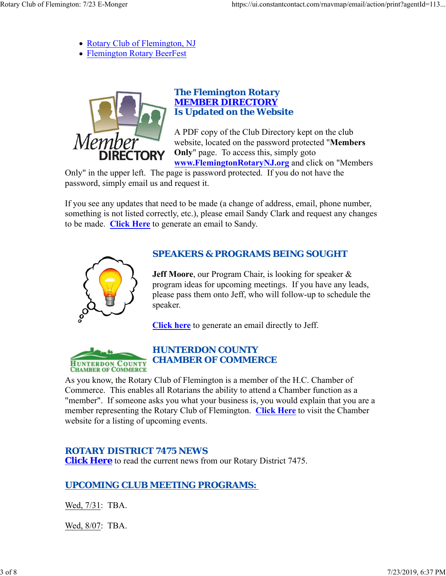- Rotary Club of Flemington, NJ
- Flemington Rotary BeerFest



### *The Flemington Rotary MEMBER DIRECTORY Is Updated on the Website*

A PDF copy of the Club Directory kept on the club website, located on the password protected "**Members Only**" page. To access this, simply goto **www.FlemingtonRotaryNJ.org** and click on "Members

Only" in the upper left. The page is password protected. If you do not have the password, simply email us and request it.

If you see any updates that need to be made (a change of address, email, phone number, something is not listed correctly, etc.), please email Sandy Clark and request any changes to be made. **Click Here** to generate an email to Sandy.



## *SPEAKERS & PROGRAMS BEING SOUGHT*

**Jeff Moore**, our Program Chair, is looking for speaker & program ideas for upcoming meetings. If you have any leads, please pass them onto Jeff, who will follow-up to schedule the speaker.

**Click here** to generate an email directly to Jeff.



## *HUNTERDON COUNTY CHAMBER OF COMMERCE*

As you know, the Rotary Club of Flemington is a member of the H.C. Chamber of Commerce. This enables all Rotarians the ability to attend a Chamber function as a "member". If someone asks you what your business is, you would explain that you are a member representing the Rotary Club of Flemington. **Click Here** to visit the Chamber website for a listing of upcoming events.

## *ROTARY DISTRICT 7475 NEWS*

**Click Here** to read the current news from our Rotary District 7475.

## *UPCOMING CLUB MEETING PROGRAMS:*

Wed, 7/31: TBA.

Wed, 8/07: TBA.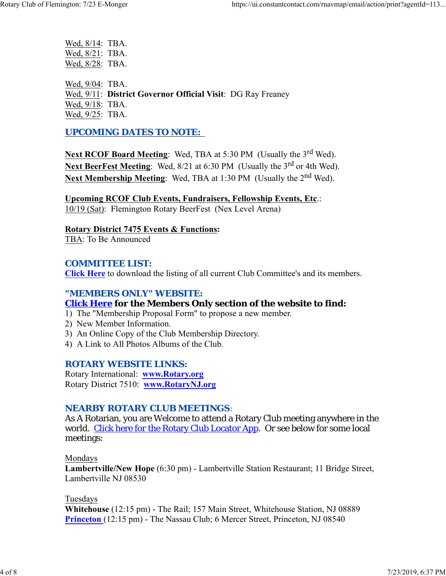Wed, 8/14: TBA. Wed, 8/21: TBA. Wed, 8/28: TBA.

Wed, 9/04: TBA. Wed, 9/11: **District Governor Official Visit**: DG Ray Freaney Wed, 9/18: TBA. Wed, 9/25: TBA.

### *UPCOMING DATES TO NOTE:*

Next RCOF Board Meeting: Wed, TBA at 5:30 PM (Usually the 3<sup>rd</sup> Wed). **Next BeerFest Meeting:** Wed, 8/21 at 6:30 PM (Usually the 3<sup>rd</sup> or 4th Wed). Next Membership Meeting: Wed, TBA at 1:30 PM (Usually the 2<sup>nd</sup> Wed).

**Upcoming RCOF Club Events, Fundraisers, Fellowship Events, Etc**.: 10/19 (Sat): Flemington Rotary BeerFest (Nex Level Arena)

**Rotary District 7475 Events & Functions:** TBA: To Be Announced

#### *COMMITTEE LIST:*

**Click Here** to download the listing of all current Club Committee's and its members.

#### *"MEMBERS ONLY" WEBSITE:*

#### **Click Here for the Members Only section of the website to find:**

- 1) The "Membership Proposal Form" to propose a new member.
- 2) New Member Information.
- 3) An Online Copy of the Club Membership Directory.
- 4) A Link to All Photos Albums of the Club.

#### *ROTARY WEBSITE LINKS:*

Rotary International: **www.Rotary.org** Rotary District 7510: **www.RotaryNJ.org**

#### *NEARBY ROTARY CLUB MEETINGS:*

As A Rotarian, you are Welcome to attend a Rotary Club meeting anywhere in the world. Click here for the Rotary Club Locator App. Or see below for some local meetings:

Mondays

**Lambertville/New Hope** (6:30 pm) - Lambertville Station Restaurant; 11 Bridge Street, Lambertville NJ 08530

Tuesdays

**Whitehouse** (12:15 pm) - The Rail; 157 Main Street, Whitehouse Station, NJ 08889 **Princeton** (12:15 pm) - The Nassau Club; 6 Mercer Street, Princeton, NJ 08540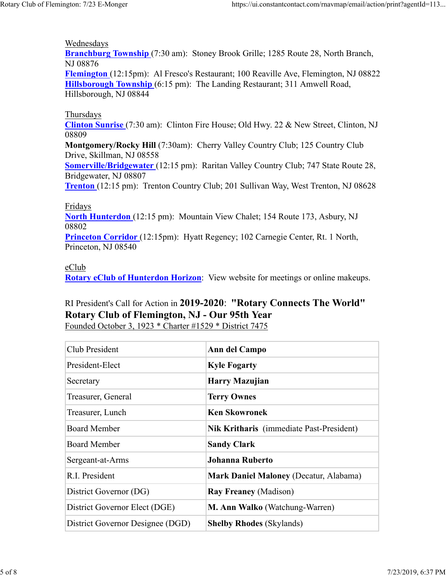Wednesdays

**Branchburg Township** (7:30 am): Stoney Brook Grille; 1285 Route 28, North Branch, NJ 08876

**Flemington** (12:15pm): Al Fresco's Restaurant; 100 Reaville Ave, Flemington, NJ 08822 **Hillsborough Township** (6:15 pm): The Landing Restaurant; 311 Amwell Road, Hillsborough, NJ 08844

#### Thursdays

**Clinton Sunrise** (7:30 am): Clinton Fire House; Old Hwy. 22 & New Street, Clinton, NJ 08809

**Montgomery/Rocky Hill** (7:30am): Cherry Valley Country Club; 125 Country Club Drive, Skillman, NJ 08558

**Somerville/Bridgewater** (12:15 pm): Raritan Valley Country Club; 747 State Route 28, Bridgewater, NJ 08807

**Trenton** (12:15 pm): Trenton Country Club; 201 Sullivan Way, West Trenton, NJ 08628

Fridays

**North Hunterdon** (12:15 pm): Mountain View Chalet; 154 Route 173, Asbury, NJ 08802

**Princeton Corridor** (12:15pm): Hyatt Regency; 102 Carnegie Center, Rt. 1 North, Princeton, NJ 08540

#### eClub

**Rotary eClub of Hunterdon Horizon**: View website for meetings or online makeups.

# RI President's Call for Action in **2019-2020**: **"Rotary Connects The World" Rotary Club of Flemington, NJ - Our 95th Year**

Founded October 3, 1923 \* Charter #1529 \* District 7475

| Club President                   | Ann del Campo                                 |
|----------------------------------|-----------------------------------------------|
| President-Elect                  | <b>Kyle Fogarty</b>                           |
| Secretary                        | <b>Harry Mazujian</b>                         |
| Treasurer, General               | <b>Terry Ownes</b>                            |
| Treasurer, Lunch                 | <b>Ken Skowronek</b>                          |
| <b>Board Member</b>              | Nik Kritharis (immediate Past-President)      |
| <b>Board Member</b>              | <b>Sandy Clark</b>                            |
| Sergeant-at-Arms                 | <b>Johanna Ruberto</b>                        |
| R.I. President                   | <b>Mark Daniel Maloney (Decatur, Alabama)</b> |
| District Governor (DG)           | <b>Ray Freaney (Madison)</b>                  |
| District Governor Elect (DGE)    | M. Ann Walko (Watchung-Warren)                |
| District Governor Designee (DGD) | <b>Shelby Rhodes (Skylands)</b>               |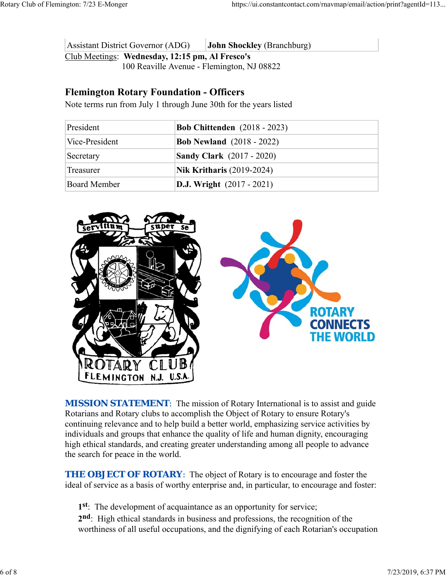Assistant District Governor (ADG) **John Shockley** (Branchburg) Club Meetings: **Wednesday, 12:15 pm, Al Fresco's** 100 Reaville Avenue - Flemington, NJ 08822

## **Flemington Rotary Foundation - Officers**

Note terms run from July 1 through June 30th for the years listed

| President      | <b>Bob Chittenden</b> (2018 - 2023) |
|----------------|-------------------------------------|
| Vice-President | <b>Bob Newland</b> (2018 - 2022)    |
| Secretary      | <b>Sandy Clark</b> (2017 - 2020)    |
| Treasurer      | <b>Nik Kritharis (2019-2024)</b>    |
| Board Member   | <b>D.J.</b> Wright $(2017 - 2021)$  |



**MISSION STATEMENT:** The mission of Rotary International is to assist and guide Rotarians and Rotary clubs to accomplish the Object of Rotary to ensure Rotary's continuing relevance and to help build a better world, emphasizing service activities by individuals and groups that enhance the quality of life and human dignity, encouraging high ethical standards, and creating greater understanding among all people to advance the search for peace in the world.

**THE OBJECT OF ROTARY:** The object of Rotary is to encourage and foster the ideal of service as a basis of worthy enterprise and, in particular, to encourage and foster:

**1st**: The development of acquaintance as an opportunity for service;

**2nd**: High ethical standards in business and professions, the recognition of the worthiness of all useful occupations, and the dignifying of each Rotarian's occupation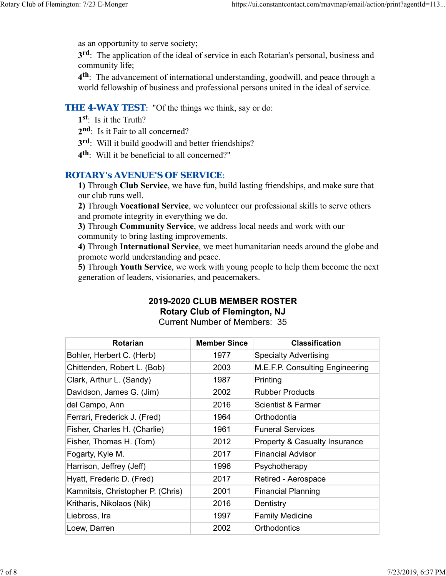as an opportunity to serve society;

**3rd**: The application of the ideal of service in each Rotarian's personal, business and community life;

**4th**: The advancement of international understanding, goodwill, and peace through a world fellowship of business and professional persons united in the ideal of service.

#### **THE 4-WAY TEST:** "Of the things we think, say or do:

- **1st**: Is it the Truth?
- 2<sup>nd</sup>: Is it Fair to all concerned?
- **3rd**: Will it build goodwill and better friendships?
- **4th**: Will it be beneficial to all concerned?"

### *ROTARY's AVENUE'S OF SERVICE*:

**1)** Through **Club Service**, we have fun, build lasting friendships, and make sure that our club runs well.

**2)** Through **Vocational Service**, we volunteer our professional skills to serve others and promote integrity in everything we do.

**3)** Through **Community Service**, we address local needs and work with our community to bring lasting improvements.

**4)** Through **International Service**, we meet humanitarian needs around the globe and promote world understanding and peace.

**5)** Through **Youth Service**, we work with young people to help them become the next generation of leaders, visionaries, and peacemakers.

### **2019-2020 CLUB MEMBER ROSTER Rotary Club of Flemington, NJ**

Current Number of Members: 35

| <b>Rotarian</b>                   | <b>Member Since</b> | <b>Classification</b>           |
|-----------------------------------|---------------------|---------------------------------|
| Bohler, Herbert C. (Herb)         | 1977                | <b>Specialty Advertising</b>    |
| Chittenden, Robert L. (Bob)       | 2003                | M.E.F.P. Consulting Engineering |
| Clark, Arthur L. (Sandy)          | 1987                | Printing                        |
| Davidson, James G. (Jim)          | 2002                | <b>Rubber Products</b>          |
| del Campo, Ann                    | 2016                | Scientist & Farmer              |
| Ferrari, Frederick J. (Fred)      | 1964                | Orthodontia                     |
| Fisher, Charles H. (Charlie)      | 1961                | <b>Funeral Services</b>         |
| Fisher, Thomas H. (Tom)           | 2012                | Property & Casualty Insurance   |
| Fogarty, Kyle M.                  | 2017                | Financial Advisor               |
| Harrison, Jeffrey (Jeff)          | 1996                | Psychotherapy                   |
| Hyatt, Frederic D. (Fred)         | 2017                | Retired - Aerospace             |
| Kamnitsis, Christopher P. (Chris) | 2001                | <b>Financial Planning</b>       |
| Kritharis, Nikolaos (Nik)         | 2016                | Dentistry                       |
| Liebross, Ira                     | 1997                | <b>Family Medicine</b>          |
| Loew, Darren                      | 2002                | Orthodontics                    |